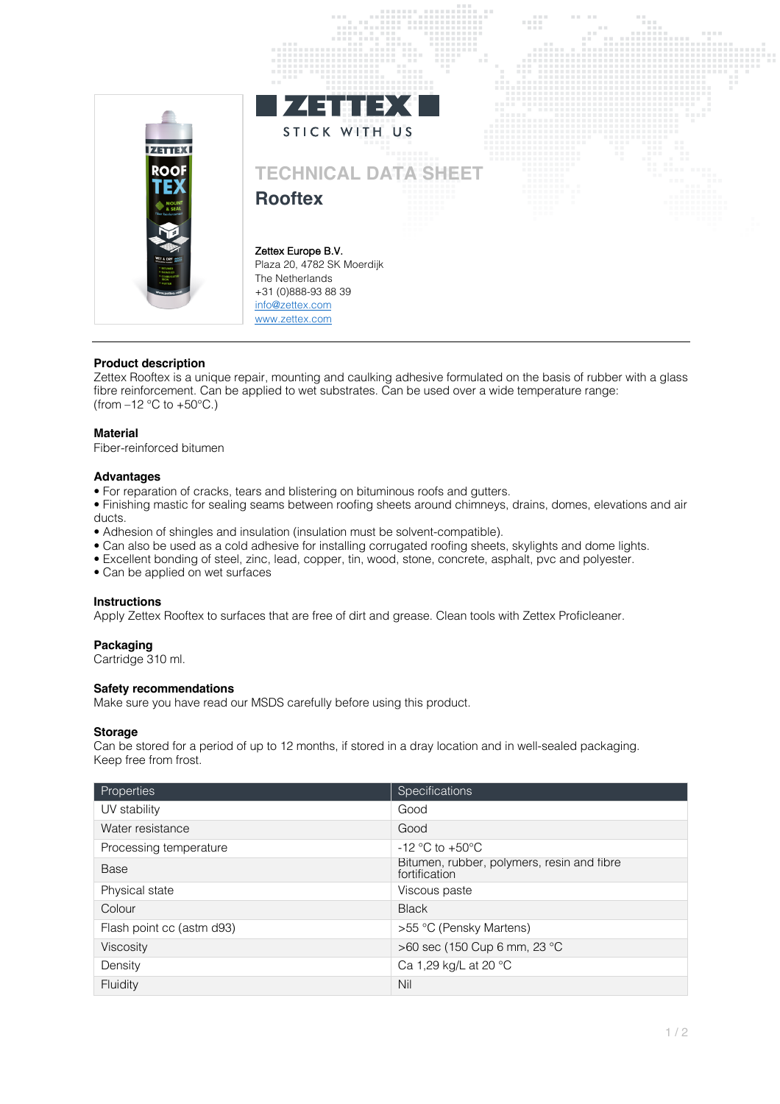

# **Product description**

Zettex Rooftex is a unique repair, mounting and caulking adhesive formulated on the basis of rubber with a glass fibre reinforcement. Can be applied to wet substrates. Can be used over a wide temperature range: (from  $-12$  °C to  $+50$ °C.)

#### **Material**

Fiber-reinforced bitumen

#### **Advantages**

• For reparation of cracks, tears and blistering on bituminous roofs and gutters.

• Finishing mastic for sealing seams between roofing sheets around chimneys, drains, domes, elevations and air ducts.

- Adhesion of shingles and insulation (insulation must be solvent-compatible).
- Can also be used as a cold adhesive for installing corrugated roofing sheets, skylights and dome lights.
- Excellent bonding of steel, zinc, lead, copper, tin, wood, stone, concrete, asphalt, pvc and polyester.
- Can be applied on wet surfaces

## **Instructions**

Apply Zettex Rooftex to surfaces that are free of dirt and grease. Clean tools with Zettex Proficleaner.

## **Packaging**

Cartridge 310 ml.

## **Safety recommendations**

Make sure you have read our MSDS carefully before using this product.

## **Storage**

Can be stored for a period of up to 12 months, if stored in a dray location and in well-sealed packaging. Keep free from frost.

| Properties                | Specifications                                              |
|---------------------------|-------------------------------------------------------------|
| UV stability              | Good                                                        |
| Water resistance          | Good                                                        |
| Processing temperature    | $-12$ °C to $+50$ °C                                        |
| <b>Base</b>               | Bitumen, rubber, polymers, resin and fibre<br>fortification |
| Physical state            | Viscous paste                                               |
| Colour                    | <b>Black</b>                                                |
| Flash point cc (astm d93) | >55 °C (Pensky Martens)                                     |
| Viscosity                 | >60 sec (150 Cup 6 mm, 23 °C                                |
| Density                   | Ca 1,29 kg/L at 20 °C                                       |
| Fluidity                  | Nil                                                         |